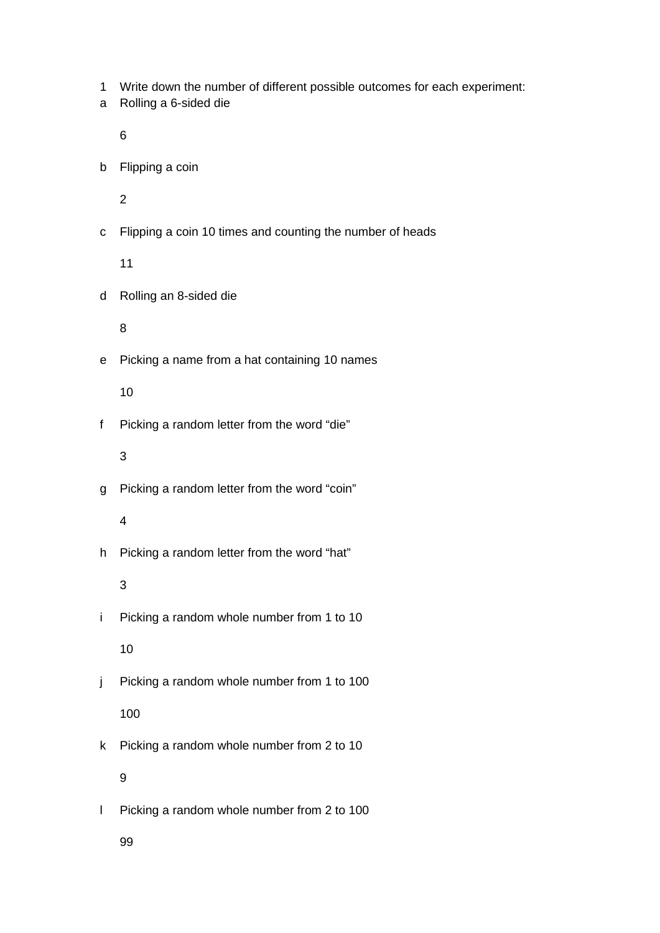- 1 Write down the number of different possible outcomes for each experiment:
- a Rolling a 6-sided die

6

b Flipping a coin

2

c Flipping a coin 10 times and counting the number of heads

11

d Rolling an 8-sided die

8

e Picking a name from a hat containing 10 names

10

f Picking a random letter from the word "die"

3

- g Picking a random letter from the word "coin"
	- 4
- h Picking a random letter from the word "hat"

## 3

i Picking a random whole number from 1 to 10

10

j Picking a random whole number from 1 to 100

100

k Picking a random whole number from 2 to 10

9

l Picking a random whole number from 2 to 100

99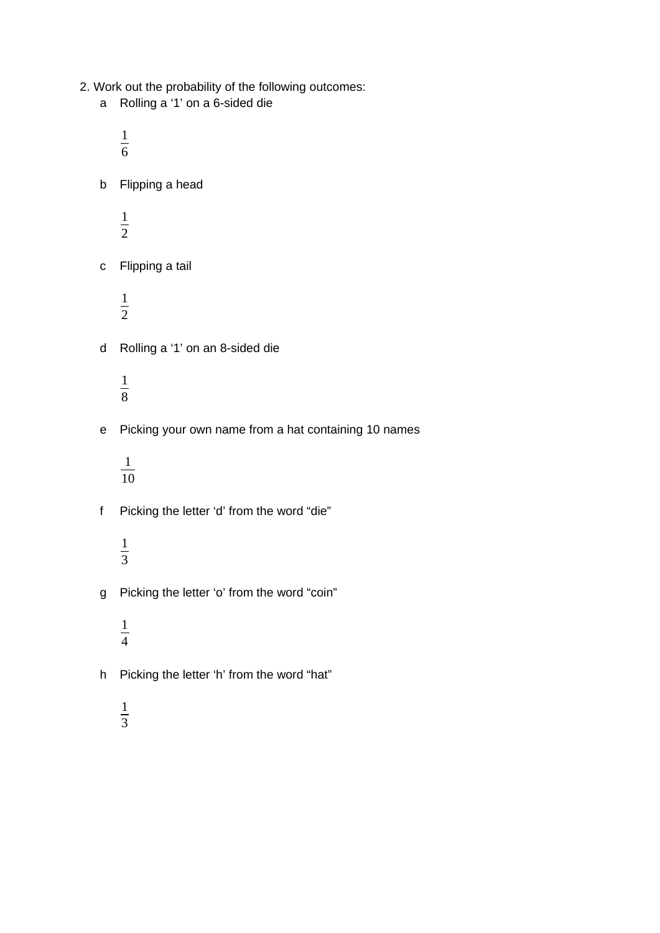- 2. Work out the probability of the following outcomes:
	- a Rolling a '1' on a 6-sided die
		-
	- b Flipping a head
		-
	- c Flipping a tail
		-
	- d Rolling a '1' on an 8-sided die
		-
	- e Picking your own name from a hat containing 10 names
		-
	- f Picking the letter 'd' from the word "die"
		-
	- g Picking the letter 'o' from the word "coin"
		-
	- h Picking the letter 'h' from the word "hat"
		-